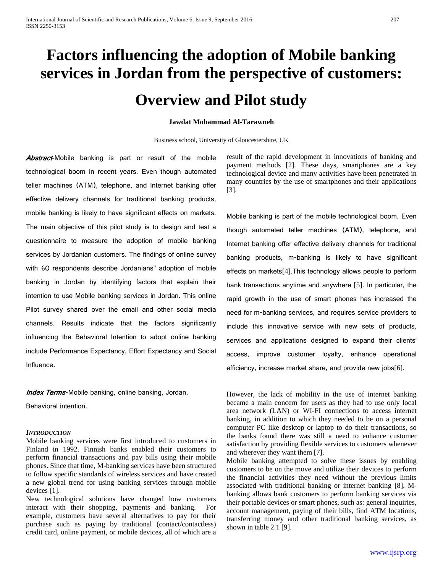# **Factors influencing the adoption of Mobile banking services in Jordan from the perspective of customers: Overview and Pilot study**

### **Jawdat Mohammad Al-Tarawneh**

Business school, University of Gloucestershire, UK

Abstract-Mobile banking is part or result of the mobile technological boom in recent years. Even though automated teller machines (ATM), telephone, and Internet banking offer effective delivery channels for traditional banking products, mobile banking is likely to have significant effects on markets. The main objective of this pilot study is to design and test a questionnaire to measure the adoption of mobile banking services by Jordanian customers. The findings of online survey with 60 respondents describe Jordanians" adoption of mobile banking in Jordan by identifying factors that explain their intention to use Mobile banking services in Jordan. This online Pilot survey shared over the email and other social media channels. Results indicate that the factors significantly influencing the Behavioral Intention to adopt online banking include Performance Expectancy, Effort Expectancy and Social Influence.

**Index Terms-Mobile banking, online banking, Jordan,** 

Behavioral intention.

# *INTRODUCTION*

Mobile banking services were first introduced to customers in Finland in 1992. Finnish banks enabled their customers to perform financial transactions and pay bills using their mobile phones. Since that time, M-banking services have been structured to follow specific standards of wireless services and have created a new global trend for using banking services through mobile devices [1].

New technological solutions have changed how customers interact with their shopping, payments and banking. For example, customers have several alternatives to pay for their purchase such as paying by traditional (contact/contactless) credit card, online payment, or mobile devices, all of which are a

result of the rapid development in innovations of banking and payment methods [2]. These days, smartphones are a key technological device and many activities have been penetrated in many countries by the use of smartphones and their applications [3].

Mobile banking is part of the mobile technological boom. Even though automated teller machines (ATM), telephone, and Internet banking offer effective delivery channels for traditional banking products, m-banking is likely to have significant effects on markets[4].This technology allows people to perform bank transactions anytime and anywhere [5]. In particular, the rapid growth in the use of smart phones has increased the need for m-banking services, and requires service providers to include this innovative service with new sets of products, services and applications designed to expand their clients' access, improve customer loyalty, enhance operational efficiency, increase market share, and provide new jobs[6].

However, the lack of mobility in the use of internet banking became a main concern for users as they had to use only local area network (LAN) or WI-FI connections to access internet banking, in addition to which they needed to be on a personal computer PC like desktop or laptop to do their transactions, so the banks found there was still a need to enhance customer satisfaction by providing flexible services to customers whenever and wherever they want them [7].

Mobile banking attempted to solve these issues by enabling customers to be on the move and utilize their devices to perform the financial activities they need without the previous limits associated with traditional banking or internet banking [8]. Mbanking allows bank customers to perform banking services via their portable devices or smart phones, such as: general inquiries, account management, paying of their bills, find ATM locations, transferring money and other traditional banking services, as shown in table 2.1 [9].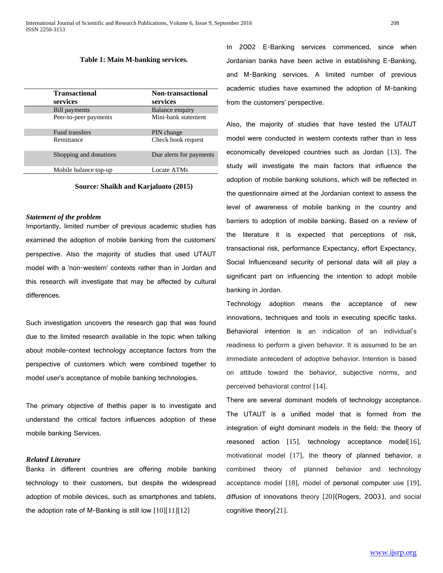| <b>Transactional</b><br>services | <b>Non-transactional</b><br>services |
|----------------------------------|--------------------------------------|
| <b>Bill payments</b>             | Balance enquiry                      |
| Peer-to-peer payments            | Mini-bank statement                  |
| Fund transfers                   | PIN change                           |
| Remittance                       | Check book request                   |
| Shopping and donations           | Due alerts for payments              |
| Mobile balance top-up            | Locate ATMs                          |

**Source: Shaikh and Karjaluoto (2015)**

#### *Statement of the problem*

Importantly, limited number of previous academic studies has examined the adoption of mobile banking from the customers' perspective. Also the majority of studies that used UTAUT model with a 'non-western' contexts rather than in Jordan and this research will investigate that may be affected by cultural differences.

Such investigation uncovers the research gap that was found due to the limited research available in the topic when talking about mobile-context technology acceptance factors from the perspective of customers which were combined together to model user's acceptance of mobile banking technologies.

The primary objective of thethis paper is to investigate and understand the critical factors influences adoption of these mobile banking Services.

# *Related Literature*

Banks in different countries are offering mobile banking technology to their customers, but despite the widespread adoption of mobile devices, such as smartphones and tablets, the adoption rate of M-Banking is still low [10][11][12]

In 2002 E-Banking services commenced, since when Jordanian banks have been active in establishing E-Banking, and M-Banking services. A limited number of previous academic studies have examined the adoption of M-banking from the customers' perspective.

Also, the majority of studies that have tested the UTAUT model were conducted in western contexts rather than in less economically developed countries such as Jordan [13]. The study will investigate the main factors that influence the adoption of mobile banking solutions, which will be reflected in the questionnaire aimed at the Jordanian context to assess the level of awareness of mobile banking in the country and barriers to adoption of mobile banking. Based on a review of the literature it is expected that perceptions of risk, transactional risk, performance Expectancy, effort Expectancy, Social Influenceand security of personal data will all play a significant part on influencing the intention to adopt mobile banking in Jordan.

Technology adoption means the acceptance of new innovations, techniques and tools in executing specific tasks. Behavioral intention is an indication of an individual's readiness to perform a given behavior. It is assumed to be an immediate antecedent of adoptive behavior. Intention is based on attitude toward the behavior, subjective norms, and perceived behavioral control [14].

There are several dominant models of technology acceptance. The UTAUT is a unified model that is formed from the integration of eight dominant models in the field: the theory of reasoned action [15], technology acceptance model[16], motivational model [17], the theory of planned behavior, a combined theory of planned behavior and technology acceptance model [18], model of personal computer use [19], diffusion of innovations theory [20](Rogers, 2003), and social cognitive theory[21].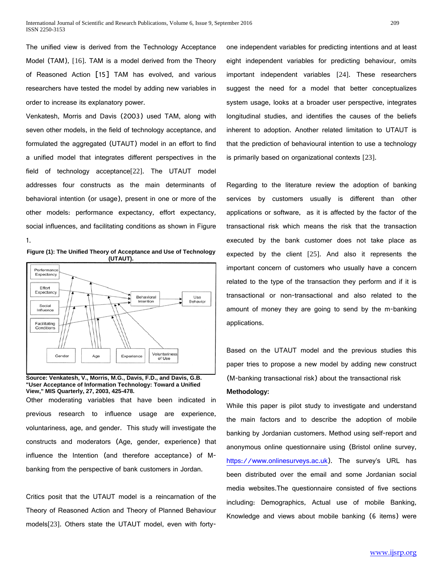The unified view is derived from the Technology Acceptance Model (TAM), [16]. TAM is a model derived from the Theory of Reasoned Action [15] TAM has evolved, and various researchers have tested the model by adding new variables in order to increase its explanatory power.

Venkatesh, Morris and Davis (2003) used TAM, along with seven other models, in the field of technology acceptance, and formulated the aggregated (UTAUT) model in an effort to find a unified model that integrates different perspectives in the field of technology acceptance[22]. The UTAUT model addresses four constructs as the main determinants of behavioral intention (or usage), present in one or more of the other models: performance expectancy, effort expectancy, social influences, and facilitating conditions as shown in Figure 1.





#### **Source: Venkatesh, V., Morris, M.G., Davis, F.D., and Davis, G.B. "User Acceptance of Information Technology: Toward a Unified View," MIS Quarterly, 27, 2003, 425-478.**

Other moderating variables that have been indicated in previous research to influence usage are experience, voluntariness, age, and gender. This study will investigate the constructs and moderators (Age, gender, experience) that influence the Intention (and therefore acceptance) of Mbanking from the perspective of bank customers in Jordan.

Critics posit that the UTAUT model is a reincarnation of the Theory of Reasoned Action and Theory of Planned Behaviour models[23]. Others state the UTAUT model, even with fortyone independent variables for predicting intentions and at least eight independent variables for predicting behaviour, omits important independent variables [24]. These researchers suggest the need for a model that better conceptualizes system usage, looks at a broader user perspective, integrates longitudinal studies, and identifies the causes of the beliefs inherent to adoption. Another related limitation to UTAUT is that the prediction of behavioural intention to use a technology is primarily based on organizational contexts [23].

Regarding to the literature review the adoption of banking services by customers usually is different than other applications or software, as it is affected by the factor of the transactional risk which means the risk that the transaction executed by the bank customer does not take place as expected by the client [25]. And also it represents the important concern of customers who usually have a concern related to the type of the transaction they perform and if it is transactional or non-transactional and also related to the amount of money they are going to send by the m-banking applications.

Based on the UTAUT model and the previous studies this paper tries to propose a new model by adding new construct (M-banking transactional risk) about the transactional risk

# **Methodology:**

While this paper is pilot study to investigate and understand the main factors and to describe the adoption of mobile banking by Jordanian customers. Method using self-report and anonymous online questionnaire using (Bristol online survey, [https://www.onlinesurveys.ac.uk\)](https://www.onlinesurveys.ac.uk/). The survey's URL has been distributed over the email and some Jordanian social media websites.The questionnaire consisted of five sections including: Demographics, Actual use of mobile Banking, Knowledge and views about mobile banking (6 items) were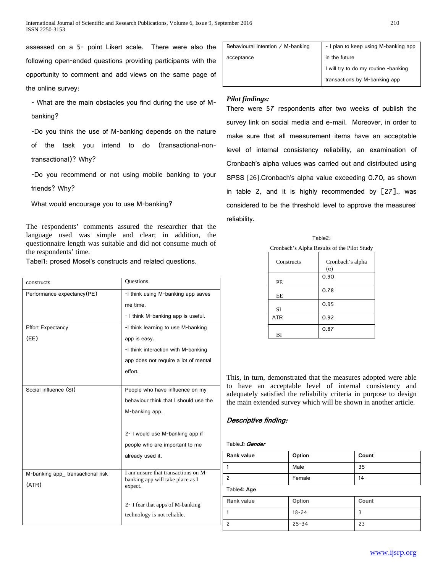assessed on a 5- point Likert scale. There were also the following open-ended questions providing participants with the opportunity to comment and add views on the same page of the online survey:

- What are the main obstacles you find during the use of Mbanking?

-Do you think the use of M-banking depends on the nature of the task you intend to do (transactional-nontransactional)? Why?

-Do you recommend or not using mobile banking to your friends? Why?

What would encourage you to use M-banking?

The respondents' comments assured the researcher that the language used was simple and clear; in addition, the questionnaire length was suitable and did not consume much of the respondents' time.

Tabel1: prosed Mosel's constructs and related questions.

| constructs                        | <b>Ouestions</b>                                                        |
|-----------------------------------|-------------------------------------------------------------------------|
| Performance expectancy (PE)       | -I think using M-banking app saves                                      |
|                                   | me time.                                                                |
|                                   | - I think M-banking app is useful.                                      |
| <b>Effort Expectancy</b>          | -I think learning to use M-banking                                      |
| (EE)                              | app is easy.                                                            |
|                                   | -I think interaction with M-banking                                     |
|                                   | app does not require a lot of mental                                    |
|                                   | effort.                                                                 |
|                                   |                                                                         |
| Social influence (SI)             | People who have influence on my                                         |
|                                   | behaviour think that I should use the                                   |
|                                   | M-banking app.                                                          |
|                                   |                                                                         |
|                                   | 2- I would use M-banking app if                                         |
|                                   | people who are important to me                                          |
|                                   | already used it.                                                        |
|                                   |                                                                         |
| M-banking app_ transactional risk | I am unsure that transactions on M-<br>banking app will take place as I |
| (ATR)                             | expect.                                                                 |
|                                   |                                                                         |
|                                   | 2- I fear that apps of M-banking                                        |
|                                   | technology is not reliable.                                             |

| Behavioural intention / M-banking | - I plan to keep using M-banking app |
|-----------------------------------|--------------------------------------|
| acceptance                        | in the future                        |
|                                   | I will try to do my routine -banking |
|                                   | transactions by M-banking app        |

# *Pilot findings:*

There were 57 respondents after two weeks of publish the survey link on social media and e-mail. Moreover, in order to make sure that all measurement items have an acceptable level of internal consistency reliability, an examination of Cronbach's alpha values was carried out and distributed using SPSS [26].Cronbach's alpha value exceeding 0.70, as shown in table 2, and it is highly recommended by [27]., was considered to be the threshold level to approve the measures' reliability.

Table2: Cronbach's Alpha Results of the Pilot Study

| Constructs | Cronbach's alpha<br>$(\alpha)$ |
|------------|--------------------------------|
| PЕ         | 0.90                           |
| EE         | 0.78                           |
| <b>SI</b>  | 0.95                           |
| <b>ATR</b> | 0.92                           |
| ВI         | 0.87                           |

This, in turn, demonstrated that the measures adopted were able to have an acceptable level of internal consistency and adequately satisfied the reliability criteria in purpose to design the main extended survey which will be shown in another article.

# Descriptive finding:

# Table 3: Gender

| Rank value  | Option | Count |
|-------------|--------|-------|
|             | Male   | 35    |
|             | Female | 14    |
| Table4: Age |        |       |
| Rank value  | Option | Count |

| Rank value | Option    | Count |
|------------|-----------|-------|
|            | $18 - 24$ | ر     |
|            | $25 - 34$ | 23    |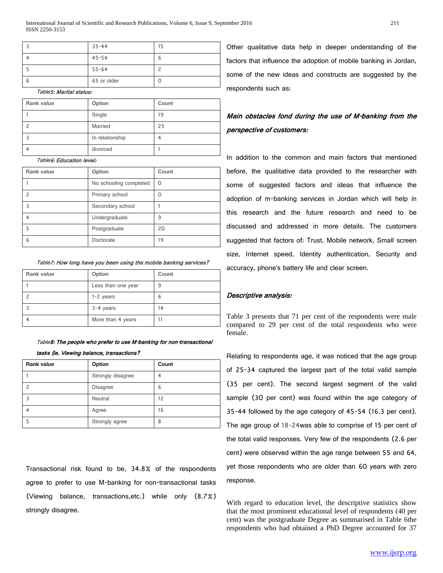|   | $35 - 44$   | 15 |
|---|-------------|----|
|   | 45-54       |    |
|   | $55 - 64$   |    |
| ь | 65 or older |    |

#### Table5: Marital status:

| Rank value | Option          | Count |
|------------|-----------------|-------|
|            | Single          | 19    |
|            | Married         | 25    |
|            | In relationship |       |
|            | divorced        |       |

#### Table6: Education level:

| Rank value | Option                 | Count |
|------------|------------------------|-------|
|            | No schooling completed | O     |
|            | Primary school         | Ω     |
|            | Secondary school       |       |
|            | Undergraduate          | 9     |
|            | Postgraduate           | 20    |
| 6          | Doctorate              | 19    |

Table7: How long have you been using the mobile banking services?

| Rank value | Option             | Count |
|------------|--------------------|-------|
|            | Less than one year | 9     |
|            | $1-2$ years        | ь     |
|            | 3-4 years          | 14    |
|            | More than 4 years  |       |

Table8: The people who prefer to use M-banking for non-transactional

#### tasks (ie. Viewing balance, transactions?

| <b>Rank value</b> | Option            | Count |
|-------------------|-------------------|-------|
|                   | Strongly disagree |       |
|                   | <b>Disagree</b>   | 6     |
|                   | Neutral           | 12    |
|                   | Agree             | 16    |
|                   | Strongly agree    | 8     |

Transactional risk found to be, 34.8% of the respondents agree to prefer to use M-banking for non-transactional tasks (Viewing balance, transactions,etc.) while only (8.7%) strongly disagree.

Other qualitative data help in deeper understanding of the factors that influence the adoption of mobile banking in Jordan, some of the new ideas and constructs are suggested by the respondents such as:

# Main obstacles fond during the use of M-banking from the perspective of customers:

In addition to the common and main factors that mentioned before, the qualitative data provided to the researcher with some of suggested factors and ideas that influence the adoption of m-banking services in Jordan which will help in this research and the future research and need to be discussed and addressed in more details. The customers suggested that factors of: Trust, Mobile network, Small screen size, Internet speed, Identity authentication, Security and accuracy, phone's battery life and clear screen.

### Descriptive analysis:

Table 3 presents that 71 per cent of the respondents were male compared to 29 per cent of the total respondents who were female.

Relating to respondents age, it was noticed that the age group of 25-34 captured the largest part of the total valid sample (35 per cent). The second largest segment of the valid sample (30 per cent) was found within the age category of 35-44 followed by the age category of 45-54 (16.3 per cent). The age group of 18-24was able to comprise of 15 per cent of the total valid responses. Very few of the respondents (2.6 per cent) were observed within the age range between 55 and 64, yet those respondents who are older than 60 years with zero response.

With regard to education level, the descriptive statistics show that the most prominent educational level of respondents (40 per cent) was the postgraduate Degree as summarised in Table 6the respondents who had obtained a PhD Degree accounted for 37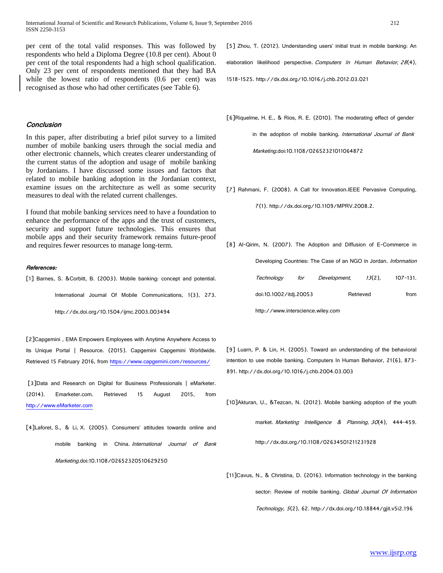per cent of the total valid responses. This was followed by respondents who held a Diploma Degree (10.8 per cent). About 0 per cent of the total respondents had a high school qualification. Only 23 per cent of respondents mentioned that they had BA while the lowest ratio of respondents (0.6 per cent) was recognised as those who had other certificates (see Table 6).

## **Conclusion**

In this paper, after distributing a brief pilot survey to a limited number of mobile banking users through the social media and other electronic channels, which creates clearer understanding of the current status of the adoption and usage of mobile banking by Jordanians. I have discussed some issues and factors that related to mobile banking adoption in the Jordanian context, examine issues on the architecture as well as some security measures to deal with the related current challenges.

I found that mobile banking services need to have a foundation to enhance the performance of the apps and the trust of customers, security and support future technologies. This ensures that mobile apps and their security framework remains future-proof and requires fewer resources to manage long-term.

#### References:

[1] Barnes, S. &Corbitt, B. (2003). Mobile banking: concept and potential.

International Journal Of Mobile Communications, 1(3), 273.

http://dx.doi.org/10.1504/ijmc.2003.003494

[2]Capgemini , EMA Empowers Employees with Anytime Anywhere Access to its Unique Portal | Resource. (2015). Capgemini Capgemini Worldwide. Retrieved 15 February 2016, from<https://www.capgemini.com/resources/>

[3]Data and Research on Digital for Business Professionals | eMarketer. (2014). Emarketer.com. Retrieved 15 August 2015, from [http://www.eMarketer.com](http://www.emarketer.com/)

[4]Laforet, S., & Li, X. (2005). Consumers' attitudes towards online and mobile banking in China. International Journal of Bank Marketing.doi:10.1108/02652320510629250

[5] Zhou, T. (2012). Understanding users' initial trust in mobile banking: An elaboration likelihood perspective. Computers In Human Behavior, 28(4),

1518-1525. http://dx.doi.org/10.1016/j.chb.2012.03.021

[6]Riquelme, H. E., & Rios, R. E. (2010). The moderating effect of gender

in the adoption of mobile banking. International Journal of Bank Marketing.doi:10.1108/02652321011064872

[7] Rahmani, F. (2008). A Call for Innovation.IEEE Pervasive Computing,

7(1). http://dx.doi.org/10.1109/MPRV.2008.2.

[8] Al-Qirim, N. (2007). The Adoption and Diffusion of E-Commerce in Developing Countries: The Case of an NGO in Jordan. Information Technology for Development, <sup>13</sup>(2), 107-131. doi:10.1002/itdj.20053 Retrieved from http://www.interscience.wiley.com

[9] Luarn, P. & Lin, H. (2005). Toward an understanding of the behavioral intention to use mobile banking. Computers In Human Behavior, 21(6), 873- 891. http://dx.doi.org/10.1016/j.chb.2004.03.003

[10]Akturan, U., &Tezcan, N. (2012). Mobile banking adoption of the youth

market. Marketing Intelligence & Planning, 30(4), 444-459.

http://dx.doi.org/10.1108/02634501211231928

[11]Cavus, N., & Christina, D. (2016). Information technology in the banking sector: Review of mobile banking. Global Journal Of Information Technology, <sup>5</sup>(2), 62. http://dx.doi.org/10.18844/gjit.v5i2.196